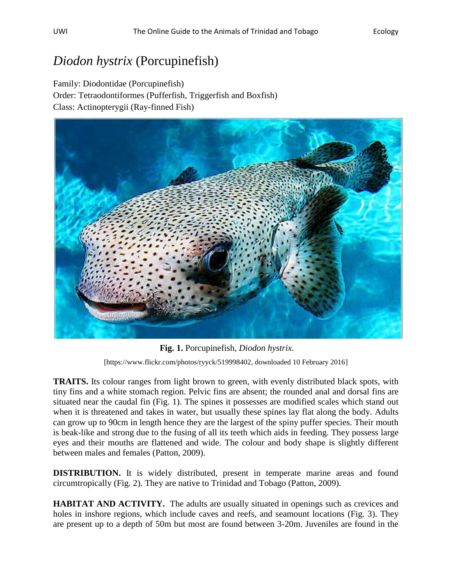## *Diodon hystrix* (Porcupinefish)

Family: Diodontidae (Porcupinefish) Order: Tetraodontiformes (Pufferfish, Triggerfish and Boxfish) Class: Actinopterygii (Ray-finned Fish)



**Fig. 1.** Porcupinefish, *Diodon hystrix.* [https://www.flickr.com/photos/ryyck/519998402, downloaded 10 February 2016]

**TRAITS.** Its colour ranges from light brown to green, with evenly distributed black spots, with tiny fins and a white stomach region. Pelvic fins are absent; the rounded anal and dorsal fins are situated near the caudal fin (Fig. 1). The spines it possesses are modified scales which stand out when it is threatened and takes in water, but usually these spines lay flat along the body. Adults can grow up to 90cm in length hence they are the largest of the spiny puffer species. Their mouth is beak-like and strong due to the fusing of all its teeth which aids in feeding. They possess large eyes and their mouths are flattened and wide. The colour and body shape is slightly different between males and females (Patton, 2009).

**DISTRIBUTION.** It is widely distributed, present in temperate marine areas and found circumtropically (Fig. 2). They are native to Trinidad and Tobago (Patton, 2009).

**HABITAT AND ACTIVITY.** The adults are usually situated in openings such as crevices and holes in inshore regions, which include caves and reefs, and seamount locations (Fig. 3). They are present up to a depth of 50m but most are found between 3-20m. Juveniles are found in the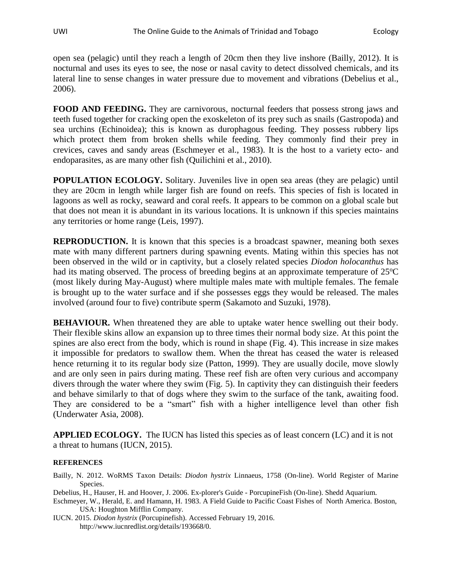open sea (pelagic) until they reach a length of 20cm then they live inshore (Bailly, 2012). It is nocturnal and uses its eyes to see, the nose or nasal cavity to detect dissolved chemicals, and its lateral line to sense changes in water pressure due to movement and vibrations (Debelius et al., 2006).

**FOOD AND FEEDING.** They are carnivorous, nocturnal feeders that possess strong jaws and teeth fused together for cracking open the exoskeleton of its prey such as snails (Gastropoda) and sea urchins (Echinoidea); this is known as durophagous feeding. They possess rubbery lips which protect them from broken shells while feeding. They commonly find their prey in crevices, caves and sandy areas (Eschmeyer et al., 1983). It is the host to a variety ecto- and endoparasites, as are many other fish (Quilichini et al., 2010).

**POPULATION ECOLOGY.** Solitary. Juveniles live in open sea areas (they are pelagic) until they are 20cm in length while larger fish are found on reefs. This species of fish is located in lagoons as well as rocky, seaward and coral reefs. It appears to be common on a global scale but that does not mean it is abundant in its various locations. It is unknown if this species maintains any territories or home range (Leis, 1997).

**REPRODUCTION.** It is known that this species is a broadcast spawner, meaning both sexes mate with many different partners during spawning events. Mating within this species has not been observed in the wild or in captivity, but a closely related species *Diodon holocanthus* has had its mating observed. The process of breeding begins at an approximate temperature of  $25^{\circ}$ C (most likely during May-August) where multiple males mate with multiple females. The female is brought up to the water surface and if she possesses eggs they would be released. The males involved (around four to five) contribute sperm (Sakamoto and Suzuki, 1978).

**BEHAVIOUR.** When threatened they are able to uptake water hence swelling out their body. Their flexible skins allow an expansion up to three times their normal body size. At this point the spines are also erect from the body, which is round in shape (Fig. 4). This increase in size makes it impossible for predators to swallow them. When the threat has ceased the water is released hence returning it to its regular body size (Patton, 1999). They are usually docile, move slowly and are only seen in pairs during mating. These reef fish are often very curious and accompany divers through the water where they swim (Fig. 5). In captivity they can distinguish their feeders and behave similarly to that of dogs where they swim to the surface of the tank, awaiting food. They are considered to be a "smart" fish with a higher intelligence level than other fish (Underwater Asia, 2008).

**APPLIED ECOLOGY.** The IUCN has listed this species as of least concern (LC) and it is not a threat to humans (IUCN, 2015).

## **REFERENCES**

Bailly, N. 2012. WoRMS Taxon Details: *Diodon hystrix* Linnaeus, 1758 (On-line). World Register of Marine Species.

Debelius, H., Hauser, H. and Hoover, J. 2006. Ex-plorer's Guide - PorcupineFish (On-line). Shedd Aquarium.

Eschmeyer, W., Herald, E. and Hamann, H. 1983. A Field Guide to Pacific Coast Fishes of North America. Boston, USA: Houghton Mifflin Company.

IUCN. 2015. *Diodon hystrix* (Porcupinefish). Accessed February 19, 2016. http://www.iucnredlist.org/details/193668/0.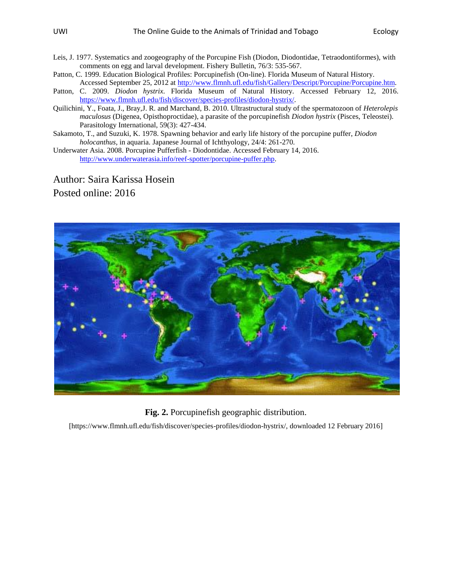Leis, J. 1977. Systematics and zoogeography of the Porcupine Fish (Diodon, Diodontidae, Tetraodontiformes), with comments on egg and larval development. Fishery Bulletin, 76/3: 535-567.

Patton, C. 1999. Education Biological Profiles: Porcupinefish (On-line). Florida Museum of Natural History. Accessed September 25, 2012 a[t http://www.flmnh.ufl.edu/fish/Gallery/Descript/Porcupine/Porcupine.htm.](http://www.flmnh.ufl.edu/​fish/​Gallery/​Descript/​Porcupine/​Porcupine.​htm)

Patton, C. 2009. *Diodon hystrix*. Florida Museum of Natural History. Accessed February 12, 2016. [https://www.flmnh.ufl.edu/fish/discover/species-profiles/diodon-hystrix/.](https://www.flmnh.ufl.edu/fish/discover/species-profiles/diodon-hystrix/)

Quilichini, Y., Foata, J., Bray,J. R. and Marchand, B. 2010. Ultrastructural study of the spermatozoon of *Heterolepis maculosus* (Digenea, Opisthoproctidae), a parasite of the porcupinefish *Diodon hystrix* (Pisces, Teleostei). Parasitology International, 59(3): 427-434.

Sakamoto, T., and Suzuki, K. 1978. Spawning behavior and early life history of the porcupine puffer, *Diodon holocanthus*, in aquaria. Japanese Journal of Ichthyology, 24/4: 261-270.

Underwater Asia. 2008. Porcupine Pufferfish - Diodontidae. Accessed February 14, 2016. [http://www.underwaterasia.info/reef-spotter/porcupine-puffer.php.](http://www.underwaterasia.info/reef-spotter/porcupine-puffer.php)

Author: Saira Karissa Hosein Posted online: 2016



**Fig. 2.** Porcupinefish geographic distribution.

[https://www.flmnh.ufl.edu/fish/discover/species-profiles/diodon-hystrix/, downloaded 12 February 2016]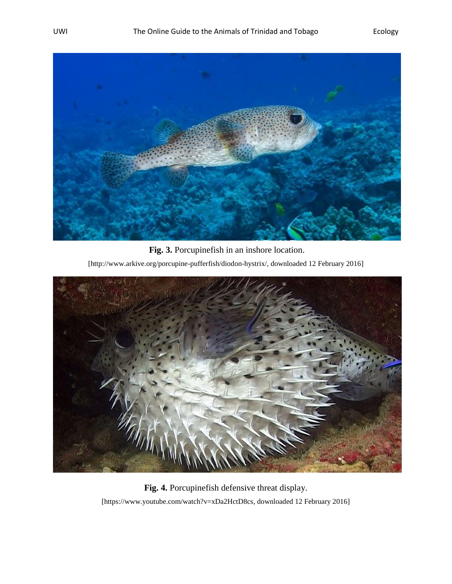

**Fig. 3.** Porcupinefish in an inshore location. [http://www.arkive.org/porcupine-pufferfish/diodon-hystrix/, downloaded 12 February 2016]



**Fig. 4.** Porcupinefish defensive threat display. [https://www.youtube.com/watch?v=xDa2HctD8cs, downloaded 12 February 2016]